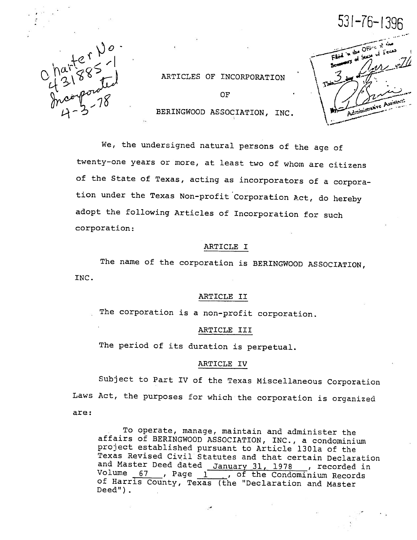$\begin{array}{c}\n\lim_{t\to 0} \frac{1}{8}e^{t} \geq -1 \\
\lim_{t\to 0} \frac{1}{8}e^{t} \geq -1 \\
\lim_{t\to 0} \frac{1}{8}e^{t} \geq -1 \\
\lim_{t\to 0} \frac{1}{8}e^{t} \geq -1\n\end{array}$ 

ARTICLES OF INCORPORATION

OF BERINGWOOD ASSOCIATION, INC.

 $531 - 76 - 1396$ ؾؾۜۜڽ .1 Administrative Assis

We, the undersigned natural persons of the age of twenty-one years or more, at least two of whom are citizens of the State of Texas, acting as incorporators of <sup>a</sup> corpora tion under the Texas Non—profit Corporation Act, do hereby adopt the following Articles of Incorporation for such corporation:

#### ARTICLE I

INC. The name of the corporation is BERINGWOOD ASSOCIATION,

#### ARTICLE II

The corporation is <sup>a</sup> non—profit corporation.

#### ARTICLE III

The period of its duration is perpetual.

### ARTICLE IV

Subject to Part IV of the Texas Miscellaneous Corporation Laws Act, the purposes for which the corporation is organized are

To operate, manage, maintain and administer the affairs of BERINGWOOD ASSOCIATION, INC., <sup>a</sup> condominium project established pursuant to Article 1301a of the Texas Revised Civil Statutes and that certain Declaration and Master Deed dated January 31, 1978 , recorded in Volume 67 , Page 1, of the Condominium Records of Harris County, Texas (the "Declaration and Master Deed") .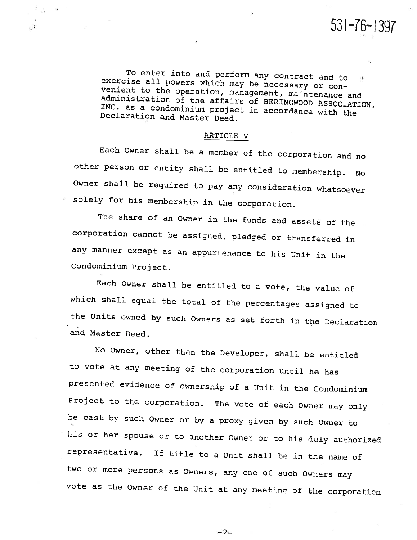531—16—1397

To enter into and perform any contract and to exercise all powers which may be necessary or con venient to the operation, management, maintenance and administration of the affairs of BERINGWOOD ASSOCIATION, Declaration and Master Deed. INC. as <sup>a</sup> condominium project in accordance with the

## ARTICLE V

 $\mathcal{N}_{\mathbf{r}}$ 

 $\cdot$ :

Each Owner shall be <sup>a</sup> member of the corporation and no other person or entity shall be entitled to membership. No Owner shall be required to pay any consideration whatsoever solely for his membership in the corporation.

The share of an Owner in the funds and assets of the corporation cannot be assigned, <sup>p</sup>ledged or transferred in any manner except as an appurtenance to his Unit in the Condominium Project.

Each Owner shall be entitled to <sup>a</sup> vote, the value of which shall equal the total of the percentages assigned to the Units owned by such Owners as set forth in the Declaration and Master Deed.

No Owner, other than the Developer, shall be entitled to vote at any meeting of the corporation until he has presented evidence of ownership of <sup>a</sup> Unit in the Condominium Project to the corporation. The vote of each Owner may only be cast by such Owner or by <sup>a</sup> proxy given by such Owner to his or her spouse or to another Owner or to his duly authorized representative. If title to <sup>a</sup> Unit shall be in the name of two or more persons as Owners, any one of such Owners may vote as the Owner of the Unit at any meeting of the corporation

 $-2-$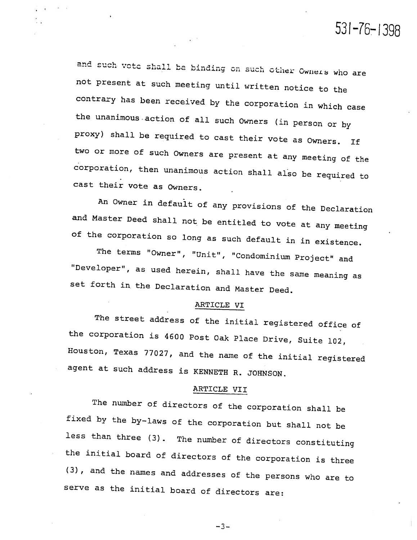and such vote shall be binding on such other Owners who are not present at such meeting until written notice to the contrary has been received by the corporation in which case the unanimous .action of all such Owners (in person or by proxy) shall be required to cast their vote as Owners. If two or more of such Owners are present at any meeting of the corporation, then unanimous action shall also be required to cast their vote as Owners.

531-76—1396

An Owner in default of any provisions of the Declaration and Master Deed shall not be entitled to vote at any meeting of the corporation so long as such default in in existence.

The terms "Owner", "Unit", "Condominium Project" and "Developer", as used herein, shall have the same meaning as set forth in the Declaration and Master Deed.

# ARTICLE VI

The street address of the initial registered office of the corporation is <sup>4600</sup> Post Oak Place Drive, Suite 102, Houston, Texas 77027, and the name of the initial registered agent at such address is KENNETH R. JOHNSON.

# ARTICLE VII

The number of directors of the corporation shall be fixed by the by—laws of the corporation but shall not be less than three (3). The number of directors constituting the initial board of directors of the corporation is three (3), and the names and addresses of the persons who are to serve as the initial board of directors are:

—3—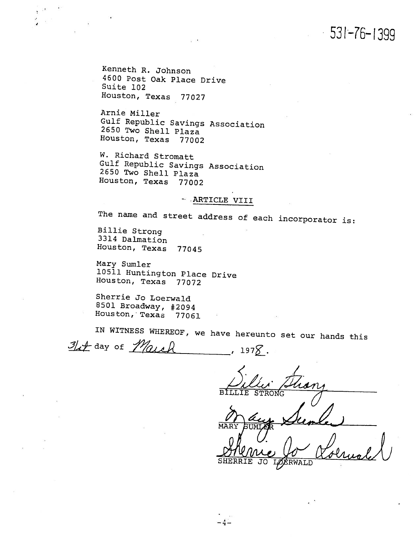531—76—1399

Kenneth R. Johnson <sup>4600</sup> Post Oak Place Drive Suite 102 Houston, Texas 77027

Arnie Miller Gulf Republic Savings Association 2650 Two Shell Plaza Houston, Texas <sup>77002</sup>

W. Richard Stromatt Gulf Republic Savings Association 2650 Two Shell Plaza Houston, Texas <sup>77002</sup>

# -, ARTICLE VIII

The name and street address of each incorporator is:

Billie Strong 3314 Dalmation Houston, Texas 77045

Mary Sumler <sup>10511</sup> Huntington Place Drive Houston, Texas <sup>77072</sup>

Sherrie Jo Loerwald <sup>8501</sup> Broadway, #2094 Houston, Texas <sup>77061</sup> •

IN WITNESS WHEREOF, we have hereunto set our hands this If day of March  $\overline{\phantom{1}}$  , 197 $\overline{\phantom{1}}$ .

 $-4-$ 

/t BILLIE

MAR

RWALD